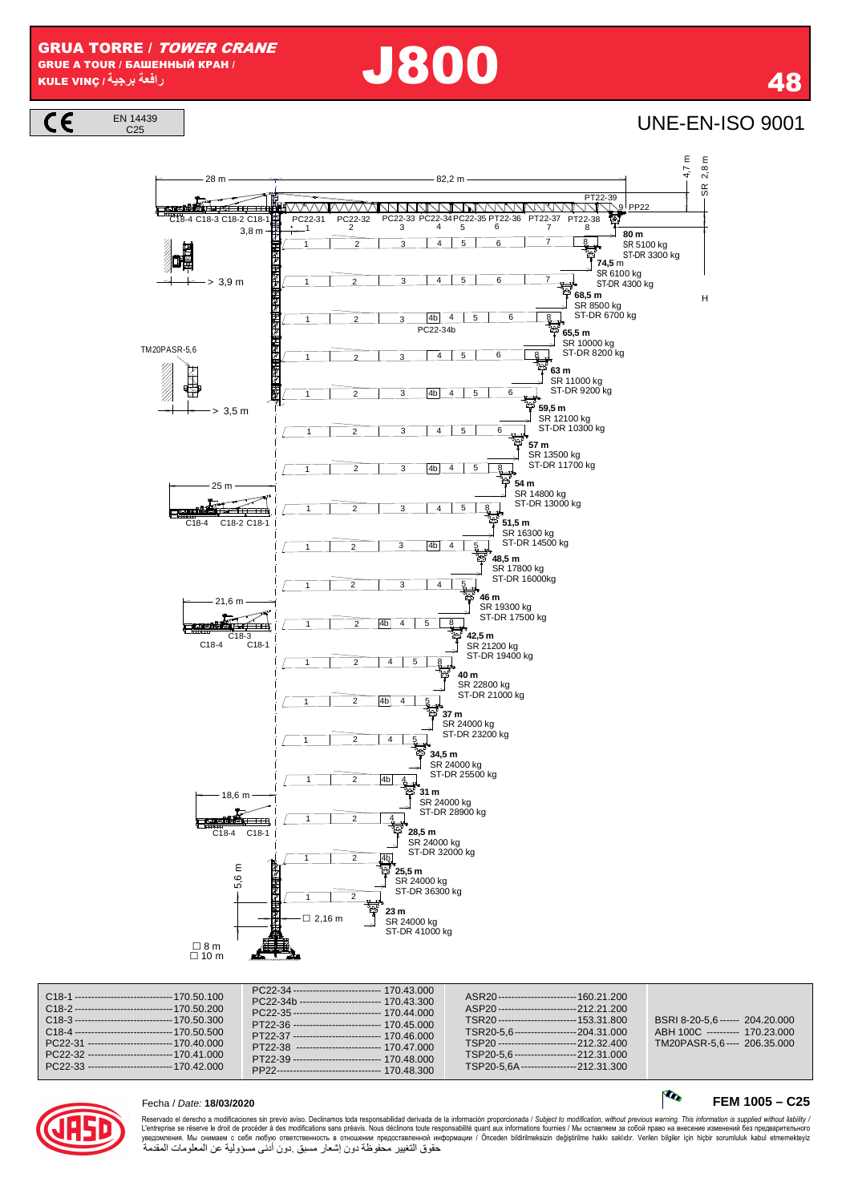GRUA TORRE / TOWER CRANE GRUE A TOUR / БАШЕННЫЙ КРАН / KULE VINÇ **/ برجية رافعة** J800 <sup>48</sup>

EN 14439

 $\overline{c}$ 

 $\frac{144439}{C25}$ 



| C <sub>18</sub> -1 ------------------------------- 170.50.100<br>C <sub>18</sub> -2 ------------------------------- 170.50.200<br>C <sub>18</sub> -3 ------------------------------- 170.50.300<br>C <sub>18</sub> -4 ---------------------------------- 170.50.500<br>PC22-31 -------------------------- 170.40.000<br>PC22-32 -------------------------- 170.41.000<br>PC22-33 -------------------------- 170.42.000 | PC22-34 ---------------------------- 170.43.000<br>PC22-34b ------------------------- 170.43.300<br>PC22-35 --------------------------- 170.44.000<br>PT22-36 --------------------------- 170 45 000<br>PT22-37 --------------------------- 170.46.000<br>PT22-38 -------------------------- 170.47.000<br>PT22-39 --------------------------- 170.48.000<br>PP22--------------------------------- 170 48 300 | ASR20------------------------ 160.21.200<br>ASP20-------------------------212.21.200<br>TSR20------------------------ 153.31.800<br>TSR20-5.6---------------------204.31.000<br>TSP20-------------------------212.32.400<br>TSP20-5.6--------------------212.31.000<br>TSP20-5.6A ------------------212.31.300 | BSRI 8-20-5.6 ------ 204.20.000<br>ABH 100C ---------- 170.23.000<br>TM20PASR-5.6---- 206.35.000 |
|------------------------------------------------------------------------------------------------------------------------------------------------------------------------------------------------------------------------------------------------------------------------------------------------------------------------------------------------------------------------------------------------------------------------|---------------------------------------------------------------------------------------------------------------------------------------------------------------------------------------------------------------------------------------------------------------------------------------------------------------------------------------------------------------------------------------------------------------|----------------------------------------------------------------------------------------------------------------------------------------------------------------------------------------------------------------------------------------------------------------------------------------------------------------|--------------------------------------------------------------------------------------------------|
|------------------------------------------------------------------------------------------------------------------------------------------------------------------------------------------------------------------------------------------------------------------------------------------------------------------------------------------------------------------------------------------------------------------------|---------------------------------------------------------------------------------------------------------------------------------------------------------------------------------------------------------------------------------------------------------------------------------------------------------------------------------------------------------------------------------------------------------------|----------------------------------------------------------------------------------------------------------------------------------------------------------------------------------------------------------------------------------------------------------------------------------------------------------------|--------------------------------------------------------------------------------------------------|



# Fecha / Date: **18/03/2020 FEM 1005 – C25**

Reservado el derecho a modificaciones sin previo aviso. Declinamos toda responsabilidad derivada de la información proporcionada / Subjec*t to modification, without previous warning. This information is supplied without l* حقوق التغيير محفوظة دون إشعار مسبق .دون أدنى مسؤولية عن المعلومات المقدمة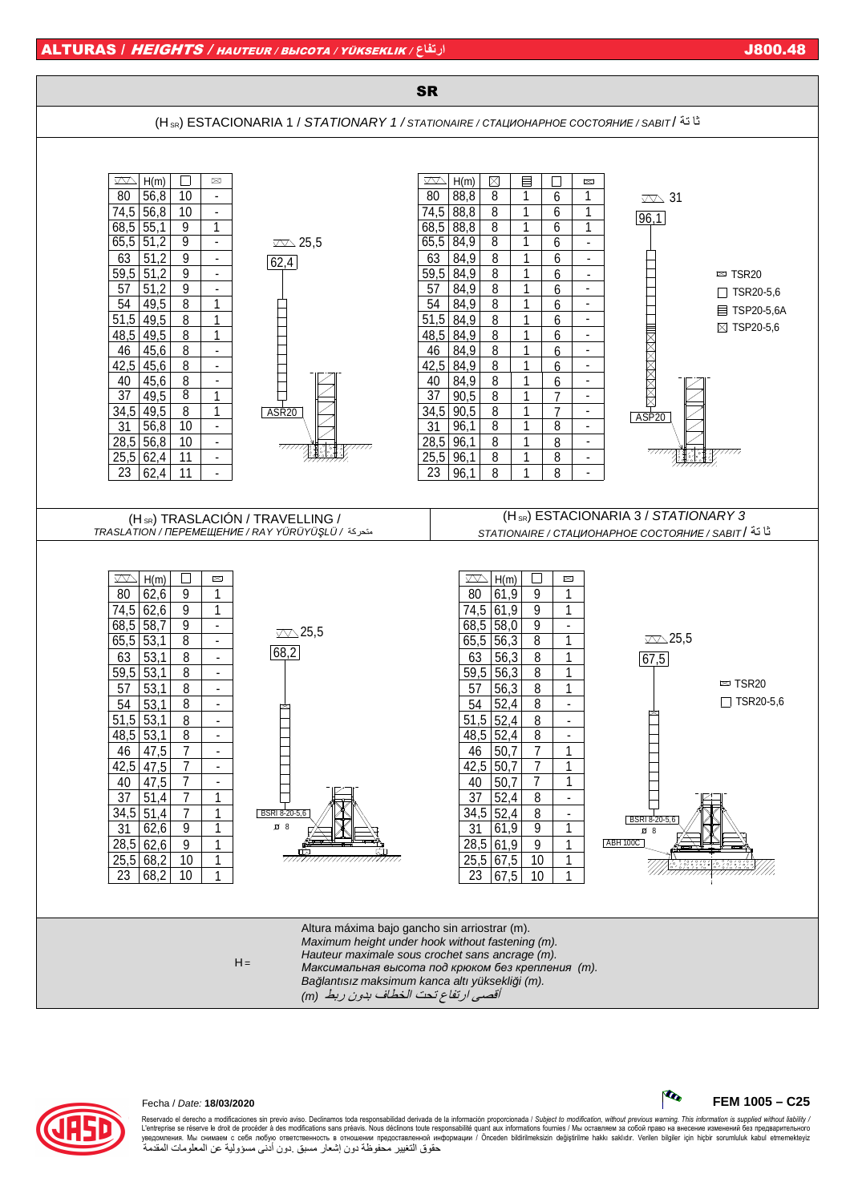



## Fecha / Date: **18/03/2020 FEM 1005 – C25**

Reservado el derecho a modificaciones sin previo aviso. Declinamos toda responsabilidad derivada de la información proporcionada / Subject to modification, without previous warning. This information is supplied without lia L'entreprise se réserve le droit de procéder à des modifications sans préavis. Nous déclinons tourabilité quant aux informations fournies / Мы оставляем за собой право на внесение изменений без предварительного<br>уведомлени حقوق التغيير محفوظة دون إشعار مسبق .دون أدنى مسؤولية عن المعلومات المقدمة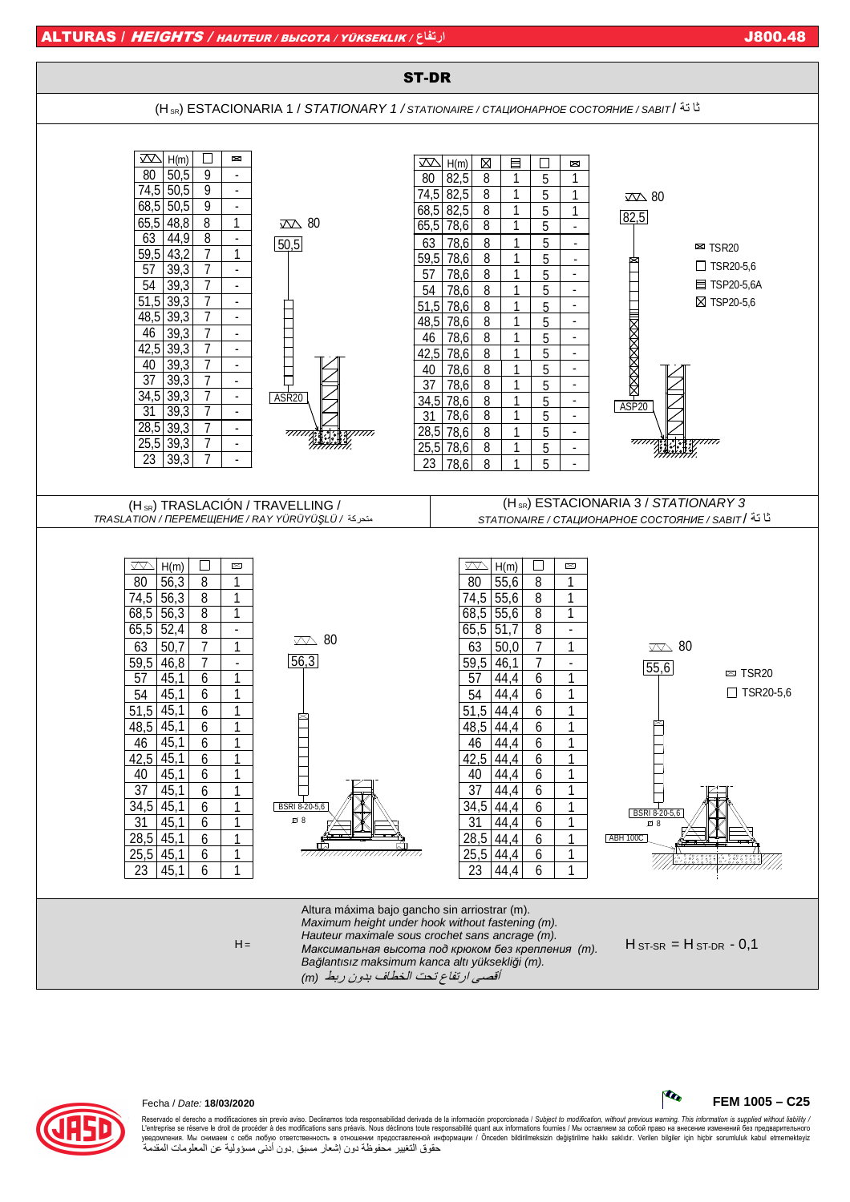





### Fecha / Date: **18/03/2020 FEM 1005 – C25**

Reservado el derecho a modificaciones sin previo aviso. Declinamos toda responsabilidad derivada de la información proporcionada / Subject to modification, without previous warning. This information is supplied without lia L'entreprise se réserve le droit de procéder à des modifications sans préavis. Nous déclinons tourabilité quant aux informations fournies / Мы оставляем за собой право на внесение изменений без предварительного<br>уведомлени حقوق التغيير محفوظة دون إشعار مسبق .دون أدنى مسؤولية عن المعلومات المقدمة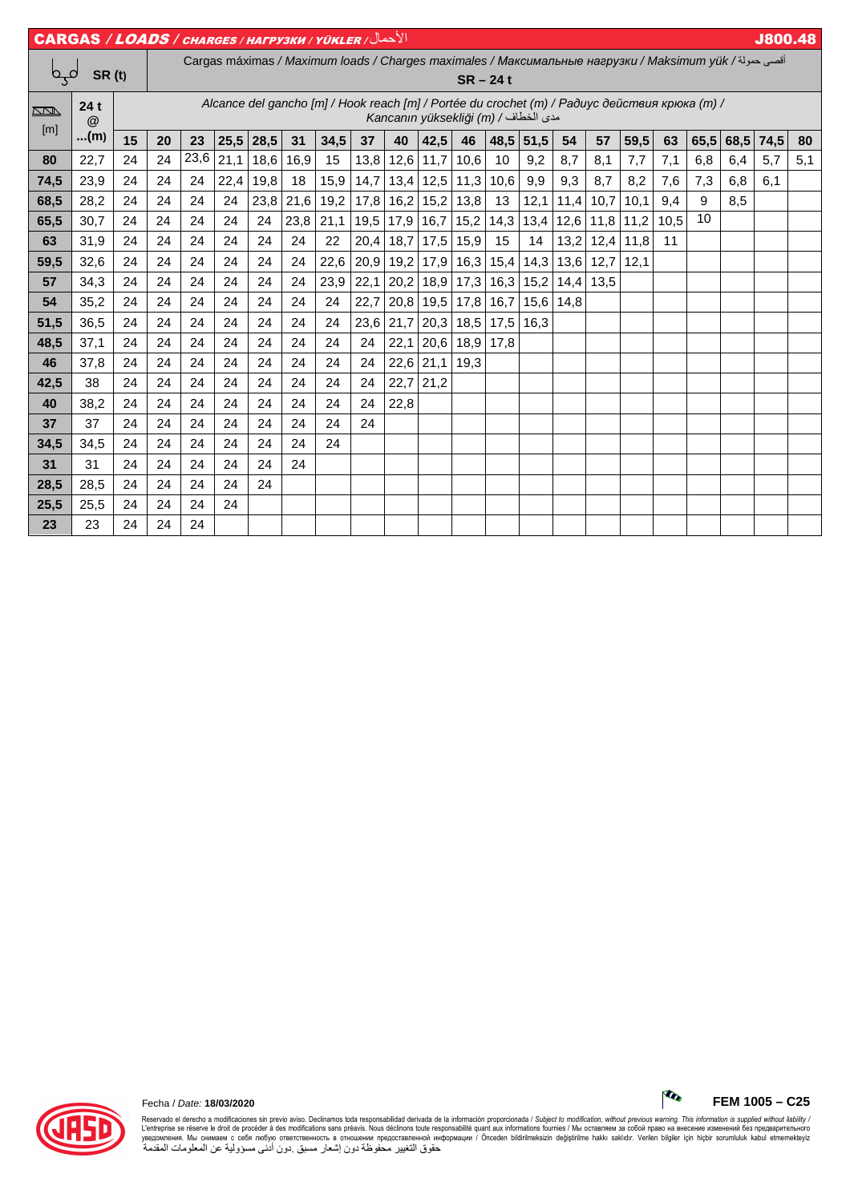|                                              | الأحمال/ CARGAS / LOADS / CHARGES / HAFPY3KH / YÜKLER |                                                                                                                                       |    |      |      |             |      |                                                                                                       |      |      |                               |            |      |           |      |      |      |      |      |      | <b>J800.48</b> |     |
|----------------------------------------------|-------------------------------------------------------|---------------------------------------------------------------------------------------------------------------------------------------|----|------|------|-------------|------|-------------------------------------------------------------------------------------------------------|------|------|-------------------------------|------------|------|-----------|------|------|------|------|------|------|----------------|-----|
| مہم                                          | <b>SR</b> (t)                                         |                                                                                                                                       |    |      |      |             |      | أقصى حمولة/ Cargas máximas / Maximum Ioads / Charges maximales / Максимальные нагрузки / Maksimum yük |      |      |                               | $SR - 24t$ |      |           |      |      |      |      |      |      |                |     |
| $\overline{\mathbb{R}}$<br>$\lceil m \rceil$ | 24t<br>@                                              | Alcance del gancho [m] / Hook reach [m] / Portée du crochet (m) / Радиус действия крюка (m) /<br>Kancanın yüksekliği (m) / مدى الخطاف |    |      |      |             |      |                                                                                                       |      |      |                               |            |      |           |      |      |      |      |      |      |                |     |
|                                              | (m)                                                   | 15                                                                                                                                    | 20 | 23   |      | $25,5$ 28,5 | 31   | 34,5                                                                                                  | 37   | 40   | 42,5                          | 46         |      | 48,5 51,5 | 54   | 57   | 59,5 | 63   | 65,5 | 68,5 | 74,5           | 80  |
| 80                                           | 22,7                                                  | 24                                                                                                                                    | 24 | 23,6 | 21,1 | 18,6        | 16,9 | 15                                                                                                    | 13,8 | 12,6 | 11,7                          | 10,6       | 10   | 9,2       | 8,7  | 8,1  | 7,7  | 7,1  | 6,8  | 6,4  | 5,7            | 5,1 |
| 74,5                                         | 23,9                                                  | 24                                                                                                                                    | 24 | 24   | 22,4 | 19,8        | 18   | 15,9                                                                                                  | 14,7 |      | $13,4$ 12,5                   | 11,3       | 10,6 | 9,9       | 9,3  | 8,7  | 8,2  | 7,6  | 7,3  | 6,8  | 6,1            |     |
| 68,5                                         | 28,2                                                  | 24                                                                                                                                    | 24 | 24   | 24   | 23,8        | 21,6 | 19,2                                                                                                  | 17,8 |      | $16,2$ 15,2                   | 13,8       | 13   | 12,1      | 11,4 | 10,7 | 10,1 | 9,4  | 9    | 8,5  |                |     |
| 65,5                                         | 30,7                                                  | 24                                                                                                                                    | 24 | 24   | 24   | 24          | 23,8 | 21,1                                                                                                  | 19,5 |      | $17,9$ 16,7                   | 15,2       | 14,3 | 13,4      | 12,6 | 11,8 | 11,2 | 10,5 | 10   |      |                |     |
| 63                                           | 31,9                                                  | 24                                                                                                                                    | 24 | 24   | 24   | 24          | 24   | 22                                                                                                    | 20,4 | 18,7 | 17,5                          | 15,9       | 15   | 14        | 13,2 | 12,4 | 11,8 | 11   |      |      |                |     |
| 59,5                                         | 32,6                                                  | 24                                                                                                                                    | 24 | 24   | 24   | 24          | 24   | 22,6                                                                                                  | 20,9 | 19,2 | 17,9                          | 16,3       | 15,4 | 14,3      | 13,6 | 12,7 | 12,1 |      |      |      |                |     |
| 57                                           | 34,3                                                  | 24                                                                                                                                    | 24 | 24   | 24   | 24          | 24   | 23,9                                                                                                  | 22,1 | 20,2 | 18,9                          | 17,3       | 16,3 | 15,2      | 14,4 | 13,5 |      |      |      |      |                |     |
| 54                                           | 35,2                                                  | 24                                                                                                                                    | 24 | 24   | 24   | 24          | 24   | 24                                                                                                    | 22,7 | 20,8 | 19,5                          | 17,8       | 16,7 | 15,6      | 14,8 |      |      |      |      |      |                |     |
| 51,5                                         | 36,5                                                  | 24                                                                                                                                    | 24 | 24   | 24   | 24          | 24   | 24                                                                                                    | 23,6 | 21,7 | 20,3                          | 18,5       | 17,5 | 16,3      |      |      |      |      |      |      |                |     |
| 48,5                                         | 37,1                                                  | 24                                                                                                                                    | 24 | 24   | 24   | 24          | 24   | 24                                                                                                    | 24   | 22,1 | 20,6                          | 18,9       | 17,8 |           |      |      |      |      |      |      |                |     |
| 46                                           | 37,8                                                  | 24                                                                                                                                    | 24 | 24   | 24   | 24          | 24   | 24                                                                                                    | 24   | 22,6 | 21,1                          | 19,3       |      |           |      |      |      |      |      |      |                |     |
| 42,5                                         | 38                                                    | 24                                                                                                                                    | 24 | 24   | 24   | 24          | 24   | 24                                                                                                    | 24   | 22,7 | 21,2                          |            |      |           |      |      |      |      |      |      |                |     |
| 40                                           | 38,2                                                  | 24                                                                                                                                    | 24 | 24   | 24   | 24          | 24   | 24                                                                                                    | 24   | 22,8 | $\overline{\phantom{m}}$      |            |      |           |      |      |      |      |      |      |                |     |
| 37                                           | 37                                                    | 24                                                                                                                                    | 24 | 24   | 24   | 24          | 24   | 24                                                                                                    | 24   |      | $\overbrace{\phantom{aaaaa}}$ |            |      |           |      |      |      |      |      |      |                |     |
| 34,5                                         | 34,5                                                  | 24                                                                                                                                    | 24 | 24   | 24   | 24          | 24   | 24                                                                                                    |      |      |                               |            |      |           |      |      |      |      |      |      |                |     |
| 31                                           | 31                                                    | 24                                                                                                                                    | 24 | 24   | 24   | 24          | 24   |                                                                                                       |      |      |                               |            |      |           |      |      |      |      |      |      |                |     |
| 28,5                                         | 28,5                                                  | 24                                                                                                                                    | 24 | 24   | 24   | 24          |      |                                                                                                       |      |      |                               |            |      |           |      |      |      |      |      |      |                |     |
| 25,5                                         | 25,5                                                  | 24                                                                                                                                    | 24 | 24   | 24   |             |      |                                                                                                       |      |      |                               |            |      |           |      |      |      |      |      |      |                |     |
| 23                                           | 23                                                    | 24                                                                                                                                    | 24 | 24   |      |             |      |                                                                                                       |      |      |                               |            |      |           |      |      |      |      |      |      |                |     |



Fecha / Date: **18/03/2020 FEM 1005 – C25**

Reservado el derecho a modificaciones sin previo aviso. Declinamos toda responsabilidad derivada de la información proporcionada / Subjec*t to modification, without previous warning. This information is supplied without*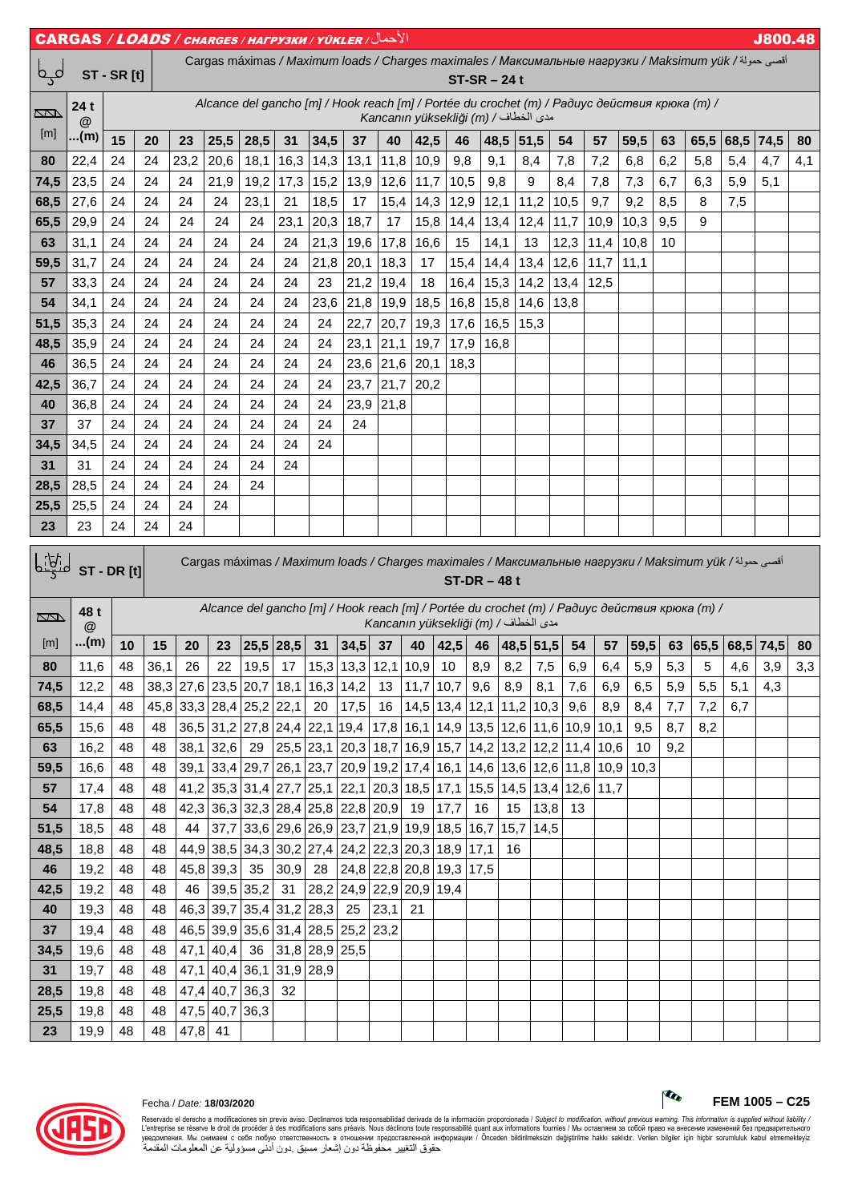| <b>J800.48</b><br>$\texttt{CARGAS}\ /\textit{LOADS}\ /\textit{charces}\ /\textit{HarPy3KM}\ /\textit{YÜKLER}\ /\sqrt{2}$ الأحمال |                      |                                                                                                                                              |          |            |                |                                                                       |                 |                                                           |              |                          |                                      |                          |               |            |                |              |              |      |     |                                                                                                       |      |           |     |
|----------------------------------------------------------------------------------------------------------------------------------|----------------------|----------------------------------------------------------------------------------------------------------------------------------------------|----------|------------|----------------|-----------------------------------------------------------------------|-----------------|-----------------------------------------------------------|--------------|--------------------------|--------------------------------------|--------------------------|---------------|------------|----------------|--------------|--------------|------|-----|-------------------------------------------------------------------------------------------------------|------|-----------|-----|
| لمہم                                                                                                                             |                      | أقصى حمولة/ Cargas máximas / Maximum loads / Charges maximales / Максимальные нагрузки / Maksimum yük<br><b>ST - SR [t]</b><br>$ST-SR - 24t$ |          |            |                |                                                                       |                 |                                                           |              |                          |                                      |                          |               |            |                |              |              |      |     |                                                                                                       |      |           |     |
| Į                                                                                                                                | 24t<br>@             | Alcance del gancho [m] / Hook reach [m] / Portée du crochet (m) / Paðuyc действия крюка (m) /<br>Kancanın yüksekliği (m) / مدى الخطاف        |          |            |                |                                                                       |                 |                                                           |              |                          |                                      |                          |               |            |                |              |              |      |     |                                                                                                       |      |           |     |
| [m]                                                                                                                              | …(m)                 | 15                                                                                                                                           | 20       | 23         | 25,5           | 28,5                                                                  | 31              | 34,5                                                      | 37           | 40                       | 42,5                                 | 46                       | 48,5          |            | 51,5           | 54           | 57           | 59,5 | 63  | 65,5                                                                                                  | 68,5 | 74,5      | 80  |
| 80                                                                                                                               | 22,4                 | 24                                                                                                                                           | 24       | 23,2       | 20,6           | 18,1                                                                  | 16,3            | 14,3                                                      | 13,1         | 11,8                     | 10,9                                 | 9,8                      | 9,1           |            | 8,4            | 7,8          | 7,2          | 6,8  | 6,2 | 5,8                                                                                                   | 5,4  | 4,7       | 4,1 |
| 74,5                                                                                                                             | 23,5                 | 24                                                                                                                                           | 24       | 24         | 21,9           | 19,2                                                                  | 17,3            | 15,2                                                      | 13,9         | 12,6                     | 11,7                                 | 10,5                     | 9,8           |            | 9              | 8,4          | 7,8          | 7,3  | 6,7 | 6,3                                                                                                   | 5,9  | 5,1       |     |
| 68,5                                                                                                                             | 27,6                 | 24                                                                                                                                           | 24       | 24         | 24             | 23,1                                                                  | 21              | 18,5                                                      | 17           | 15,4                     | 14,3                                 | 12,9                     | 12,1          |            | 11,2           | 10,5         | 9,7          | 9,2  | 8,5 | 8                                                                                                     | 7,5  |           |     |
| 65,5                                                                                                                             | 29,9                 | 24                                                                                                                                           | 24       | 24         | 24             | 24                                                                    | 23,1            | 20,3                                                      | 18,7         | 17                       | 15,8                                 | 14,4                     | 13,4          |            | 12,4           | 11,7         | 10,9         | 10,3 | 9,5 | 9                                                                                                     |      |           |     |
| 63                                                                                                                               | 31,1                 | 24                                                                                                                                           | 24       | 24         | 24             | 24                                                                    | 24              | 21,3                                                      | 19,6         | 17,8                     | 16,6                                 | 15                       | 14,1          |            | 13             | 12,3         | 11,4         | 10,8 | 10  |                                                                                                       |      |           |     |
| 59,5<br>57                                                                                                                       | 31,7<br>33,3         | 24<br>24                                                                                                                                     | 24<br>24 | 24<br>24   | 24<br>24       | 24<br>24                                                              | 24<br>24        | 21,8<br>23                                                | 20,1<br>21,2 | 18,3<br>19,4             | 17<br>18                             | 15,4<br>16,4             | 14,4<br>15,3  |            | 13,4<br>14,2   | 12,6<br>13,4 | 11,7<br>12,5 | 11,1 |     |                                                                                                       |      |           |     |
| 54                                                                                                                               | 34,1                 | 24                                                                                                                                           | 24       | 24         | 24             | 24                                                                    | 24              | 23,6                                                      | 21,8         | 19,9                     | 18,5                                 | 16,8                     | 15,8          |            | 14,6           | 13,8         |              |      |     |                                                                                                       |      |           |     |
| 51,5                                                                                                                             | 35,3                 | 24                                                                                                                                           | 24       | 24         | 24             | 24                                                                    | 24              | 24                                                        | 22,7         | 20,7                     | 19,3                                 | 17,6                     | 16,5          |            | 15,3           |              |              |      |     |                                                                                                       |      |           |     |
| 48,5                                                                                                                             | 35,9                 | 24                                                                                                                                           | 24       | 24         | 24             | 24                                                                    | 24              | 24                                                        | 23,1         | 21,1                     | 19,7                                 | 17,9                     | 16,8          |            |                |              |              |      |     |                                                                                                       |      |           |     |
| 46                                                                                                                               | 36,5                 | 24                                                                                                                                           | 24       | 24         | 24             | 24                                                                    | 24              | 24                                                        | 23,6         | 21,6                     | 20,1                                 | 18,3                     |               |            |                |              |              |      |     |                                                                                                       |      |           |     |
| 42,5                                                                                                                             | 36,7                 | 24                                                                                                                                           | 24       | 24         | 24             | 24                                                                    | 24              | 24                                                        | 23,7         | 21,7                     | 20,2                                 |                          |               |            |                |              |              |      |     |                                                                                                       |      |           |     |
| 40                                                                                                                               | 36,8                 | 24                                                                                                                                           | 24       | 24         | 24             | 24                                                                    | 24              | 24                                                        | 23,9         | 21,8                     |                                      |                          |               |            |                |              |              |      |     |                                                                                                       |      |           |     |
| 37                                                                                                                               | 37                   | 24                                                                                                                                           | 24       | 24         | 24             | 24                                                                    | 24              | 24                                                        | 24           |                          |                                      |                          |               |            |                |              |              |      |     |                                                                                                       |      |           |     |
| 34,5                                                                                                                             | 34,5                 | 24                                                                                                                                           | 24       | 24         | 24             | 24                                                                    | 24              | 24                                                        |              |                          |                                      |                          |               |            |                |              |              |      |     |                                                                                                       |      |           |     |
| 31                                                                                                                               | 31                   | 24                                                                                                                                           | 24       | 24         | 24             | 24                                                                    | 24              |                                                           |              |                          |                                      |                          |               |            |                |              |              |      |     |                                                                                                       |      |           |     |
| 28,5                                                                                                                             | 28,5                 | 24                                                                                                                                           | 24       | 24         | 24             | 24                                                                    |                 |                                                           |              | $\overline{\phantom{0}}$ |                                      |                          |               |            |                |              |              |      |     |                                                                                                       |      |           |     |
| 25,5                                                                                                                             | 25,5                 | 24                                                                                                                                           | 24       | 24         | 24             |                                                                       |                 |                                                           |              |                          |                                      |                          |               |            |                |              |              |      |     |                                                                                                       |      |           |     |
| 23                                                                                                                               | 23                   | 24                                                                                                                                           |          |            |                |                                                                       |                 |                                                           |              |                          |                                      |                          |               |            |                |              |              |      |     |                                                                                                       |      |           |     |
|                                                                                                                                  |                      |                                                                                                                                              | 24       | 24         |                |                                                                       |                 |                                                           |              |                          |                                      |                          |               |            |                |              |              |      |     |                                                                                                       |      |           |     |
| <u>  iti</u> d                                                                                                                   |                      | ST-DR[t]                                                                                                                                     |          |            |                |                                                                       |                 |                                                           |              |                          |                                      |                          | $ST-DR - 48t$ |            |                |              |              |      |     | أقصى حمولة/ Cargas máximas / Maximum loads / Charges maximales / Максимальные нагрузки / Maksimum yük |      |           |     |
| Į                                                                                                                                | 48 t<br>$^\circledR$ |                                                                                                                                              |          |            |                |                                                                       |                 |                                                           |              |                          | مدى الخطاف / (Kancanın yüksekliği (m |                          |               |            |                |              |              |      |     | Alcance del gancho [m] / Hook reach [m] / Portée du crochet (m) / Paðuyc действия крюка (m) /         |      |           |     |
| [m]                                                                                                                              | (m)                  | 10                                                                                                                                           | 15       | 20         | 23             | $25,5$ 28,5                                                           |                 | 31                                                        | 34,5         | 37                       | 40                                   | 42,5                     | 46            |            | $48,5$ 51,5    | 54           | 57           | 59,5 | 63  | 65,5                                                                                                  |      | 68,5 74,5 | 80  |
| 80                                                                                                                               | 11,6                 | 48                                                                                                                                           | 36,1     | 26         | 22             | 19,5                                                                  | 17 <sup>1</sup> | $15,3$ 13,3 12,1 10,9 10                                  |              |                          |                                      |                          | 8,9           | 8,2        | 7,5            | 6,9          | 6.4          | 5,9  | 5,3 | 5                                                                                                     | 4,6  | 3,9       | 3,3 |
| 74,5                                                                                                                             | 12,2                 | 48                                                                                                                                           |          |            |                | 38,3 27,6 23,5 20,7 18,1 16,3 14,2                                    |                 |                                                           |              | 13                       | 11,7                                 | 10,7                     | 9,6           | 8,9        | 8,1            | 7,6          | 6,9          | 6,5  | 5,9 | 5,5                                                                                                   | 5,1  | 4,3       |     |
| 68,5                                                                                                                             | 14,4                 | 48                                                                                                                                           |          |            |                | 45,8 33,3 28,4 25,2 22,1                                              |                 | 20                                                        | 17,5         | 16                       | 14,5 13,4 12,1 11,2 10,3             |                          |               |            |                | 9,6          | 8,9          | 8,4  | 7,7 | 7,2                                                                                                   | 6,7  |           |     |
| 65,5                                                                                                                             | 15,6                 | 48                                                                                                                                           | 48       |            |                | 36,5 31,2 27,8 24,4 22,1 19,4                                         |                 |                                                           |              | $17,8$ 16,1              |                                      | 14,9 13,5 12,6 11,6 10,9 |               |            |                |              | 10,1         | 9,5  | 8,7 | 8,2                                                                                                   |      |           |     |
| 63                                                                                                                               | 16,2                 | 48                                                                                                                                           | 48       |            | $38,1$ 32,6    |                                                                       |                 | 29 25,5 23,1 20,3 18,7 16,9 15,7 14,2 13,2 12,2 11,4 10,6 |              |                          |                                      |                          |               |            |                |              |              | 10   | 9,2 |                                                                                                       |      |           |     |
| 59,5                                                                                                                             | 16,6                 | 48                                                                                                                                           | 48       |            |                | 39,1 33,4 29,7 26,1 23,7 20,9 19,2 17,4 16,1 14,6 13,6 12,6 11,8 10,9 |                 |                                                           |              |                          |                                      |                          |               |            |                |              |              | 10,3 |     |                                                                                                       |      |           |     |
| 57                                                                                                                               | 17,4                 | 48                                                                                                                                           | 48       |            |                | 41,2 35,3 31,4 27,7 25,1                                              |                 |                                                           | 22,1         | $20,3$ 18,5              |                                      | 17,1                     | 15,5          |            | 14,5 13,4 12,6 |              | 11,7         |      |     |                                                                                                       |      |           |     |
| 54                                                                                                                               | 17,8                 | 48                                                                                                                                           | 48       |            |                | 42,3 36,3 32,3 28,4 25,8 22,8 20,9                                    |                 |                                                           |              |                          | 19                                   | 17,7                     | 16            | 15         | 13,8           | 13           |              |      |     |                                                                                                       |      |           |     |
| 51,5                                                                                                                             | 18,5<br>18,8         | 48<br>48                                                                                                                                     | 48<br>48 | 44<br>44,9 |                | 37,7 33,6 29,6 26,9 23,7 21,9 19,9 18,5                               |                 |                                                           |              |                          |                                      |                          | 16,7          | 15,7<br>16 | 14,5           |              |              |      |     |                                                                                                       |      |           |     |
| 48,5<br>46                                                                                                                       | 19,2                 | 48                                                                                                                                           | 48       |            | 45,8 39,3      | 38,5   34,3   30,2   27,4   24,2   22,3   20,3   18,9<br>35           | 30,9            | 28                                                        |              |                          | 24,8 22,8 20,8 19,3                  |                          | 17,1<br>17,5  |            |                |              |              |      |     |                                                                                                       |      |           |     |
| 42,5                                                                                                                             | 19,2                 | 48                                                                                                                                           | 48       | 46         |                | 39,5 35,2                                                             |                 | 31 28,2 24,9 22,9 20,9 19,4                               |              |                          |                                      |                          |               |            |                |              |              |      |     |                                                                                                       |      |           |     |
| 40                                                                                                                               | 19,3                 | 48                                                                                                                                           | 48       |            |                | 46,3 39,7 35,4 31,2 28,3                                              |                 |                                                           | 25           | 23,1                     | 21                                   |                          |               |            |                |              |              |      |     |                                                                                                       |      |           |     |
| 37                                                                                                                               | 19,4                 | 48                                                                                                                                           | 48       |            |                | 46,5 39,9 35,6 31,4 28,5 25,2                                         |                 |                                                           |              | 23,2                     |                                      |                          |               |            |                |              |              |      |     |                                                                                                       |      |           |     |
| 34,5                                                                                                                             | 19,6                 | 48                                                                                                                                           | 48       |            | $47,1$ 40,4    |                                                                       |                 | 36 31,8 28,9 25,5                                         |              |                          |                                      |                          |               |            |                |              |              |      |     |                                                                                                       |      |           |     |
| 31                                                                                                                               | 19,7                 | 48                                                                                                                                           | 48       |            |                | 47,1 40,4 36,1 31,9 28,9                                              |                 |                                                           |              |                          |                                      |                          |               |            |                |              |              |      |     |                                                                                                       |      |           |     |
| 28,5                                                                                                                             | 19,8                 | 48                                                                                                                                           | 48       |            | $47,4$ 40,7    | 36,3                                                                  | 32              |                                                           |              |                          |                                      |                          |               |            |                |              |              |      |     |                                                                                                       |      |           |     |
| 25,5                                                                                                                             | 19,8                 | 48                                                                                                                                           | 48       | 47,8       | 47,5 40,7 36,3 |                                                                       |                 |                                                           |              |                          |                                      |                          |               |            |                |              |              |      |     |                                                                                                       |      |           |     |





Reservado el derecho a modificaciones sin previo aviso. Declinamos toda responsabilidad derivada de la información proporcionada / Subjec*t to modification, without previous warning. This information is supplied without*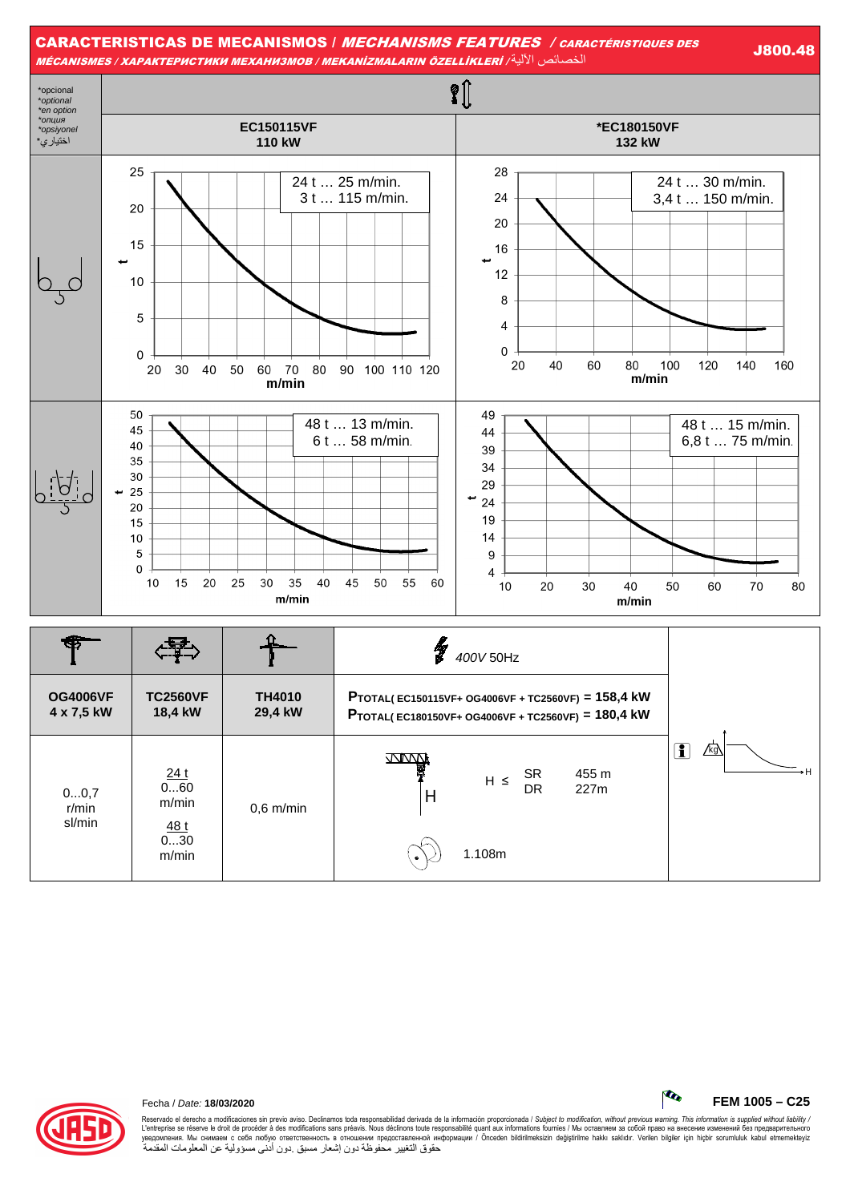



Reservado el derecho a modificaciones sin previo aviso. Declinamos toda responsabilidad derivada de la información proporcionada / Subjec*t to modification, without previous warning. This information is supplied without l* حقوق التغيير محفوظة دون إشعار مسبق .دون أدنى مسؤولية عن المعلومات المقدمة

Fecha / Date: **18/03/2020 FEM 1005 – C25**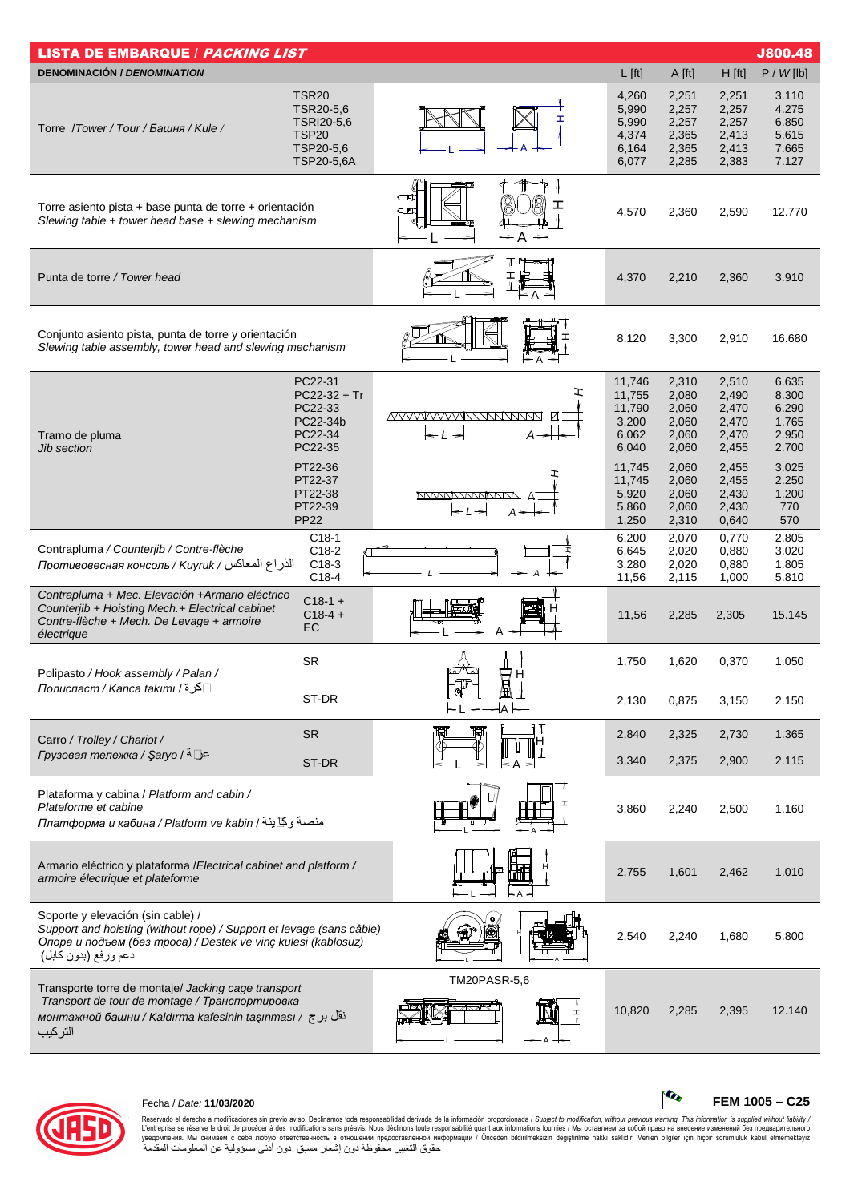| <b>LISTA DE EMBARQUE / PACKING LIST</b>                                                                                                                                                            |                                                                                    |                                               |                                                       |                                                    |                                                    | <b>J800.48</b>                                     |
|----------------------------------------------------------------------------------------------------------------------------------------------------------------------------------------------------|------------------------------------------------------------------------------------|-----------------------------------------------|-------------------------------------------------------|----------------------------------------------------|----------------------------------------------------|----------------------------------------------------|
| <b>DENOMINACIÓN / DENOMINATION</b>                                                                                                                                                                 |                                                                                    |                                               | $L$ [ft]                                              | A [ft]                                             | $H$ [ft]                                           | P / W [lb]                                         |
| Torre /Tower/Tour/Башня/Kule/                                                                                                                                                                      | <b>TSR20</b><br>TSR20-5,6<br>TSRI20-5,6<br><b>TSP20</b><br>TSP20-5,6<br>TSP20-5,6A |                                               | 4,260<br>5,990<br>5,990<br>4,374<br>6,164<br>6,077    | 2,251<br>2,257<br>2,257<br>2,365<br>2,365<br>2,285 | 2,251<br>2,257<br>2,257<br>2,413<br>2,413<br>2,383 | 3.110<br>4.275<br>6.850<br>5.615<br>7.665<br>7.127 |
| Torre asiento pista + base punta de torre + orientación<br>Slewing table + tower head base + slewing mechanism                                                                                     |                                                                                    | $\square$<br>$\square$<br>Α                   | 4,570                                                 | 2,360                                              | 2,590                                              | 12.770                                             |
| Punta de torre / Tower head                                                                                                                                                                        |                                                                                    |                                               | 4,370                                                 | 2,210                                              | 2,360                                              | 3.910                                              |
| Conjunto asiento pista, punta de torre y orientación<br>Slewing table assembly, tower head and slewing mechanism                                                                                   |                                                                                    |                                               | 8,120                                                 | 3,300                                              | 2,910                                              | 16.680                                             |
| Tramo de pluma<br>Jib section                                                                                                                                                                      | PC22-31<br>$PC22-32 + Tr$<br>PC22-33<br>PC22-34b<br>PC22-34<br>PC22-35             | エ<br><u>MMMMMMMMMMM</u><br>А<br>$\Rightarrow$ | 11,746<br>11,755<br>11,790<br>3,200<br>6,062<br>6,040 | 2,310<br>2,080<br>2,060<br>2,060<br>2,060<br>2,060 | 2,510<br>2,490<br>2,470<br>2,470<br>2,470<br>2,455 | 6.635<br>8.300<br>6.290<br>1.765<br>2.950<br>2.700 |
|                                                                                                                                                                                                    | PT22-36<br>PT22-37<br>PT22-38<br>PT22-39<br><b>PP22</b>                            | ェ<br><u>MVVVVVVVVV</u><br>А                   | 11,745<br>11,745<br>5,920<br>5,860<br>1,250           | 2,060<br>2,060<br>2,060<br>2,060<br>2,310          | 2,455<br>2,455<br>2,430<br>2,430<br>0,640          | 3.025<br>2.250<br>1.200<br>770<br>570              |
| Contrapluma / Counterjib / Contre-flèche<br>الذراع المعاكس / Киугик / Противовесная консоль / Киугик                                                                                               | $C18-1$<br>C18-2<br>$C18-3$<br>C18-4                                               |                                               | 6,200<br>6,645<br>3,280<br>11,56                      | 2,070<br>2,020<br>2,020<br>2,115                   | 0,770<br>0,880<br>0,880<br>1,000                   | 2.805<br>3.020<br>1.805<br>5.810                   |
| Contrapluma + Mec. Elevación + Armario eléctrico<br>Counterjib + Hoisting Mech.+ Electrical cabinet<br>Contre-flèche + Mech. De Levage + armoire<br>électrique                                     | $C18-1 +$<br>$C18-4 +$<br>EC                                                       |                                               | 11,56                                                 | 2,285                                              | 2,305                                              | 15.145                                             |
| Polipasto / Hook assembly / Palan /<br>_ كرة / Полиспаст / Kanca takımı                                                                                                                            | <b>SR</b>                                                                          | Ь<br>H<br>OÜ                                  | 1,750                                                 | 1,620                                              | 0,370                                              | 1.050                                              |
|                                                                                                                                                                                                    | ST-DR                                                                              | ŀΑ                                            | 2,130                                                 | 0,875                                              | 3,150                                              | 2.150                                              |
| Carro / Trolley / Chariot /                                                                                                                                                                        | <b>SR</b>                                                                          |                                               | 2,840                                                 | 2,325                                              | 2,730                                              | 1.365                                              |
| عل <sup>⊺</sup> 4 / Грузовая тележка / Şaryo                                                                                                                                                       | ST-DR                                                                              |                                               | 3,340                                                 | 2,375                                              | 2,900                                              | 2.115                                              |
| Plataforma y cabina / Platform and cabin /<br>Plateforme et cabine<br>ллатформа и кабина / Platform ve kabin / منصة وكاينة                                                                         |                                                                                    |                                               | 3,860                                                 | 2,240                                              | 2,500                                              | 1.160                                              |
| Armario eléctrico y plataforma / Electrical cabinet and platform /<br>armoire électrique et plateforme                                                                                             |                                                                                    |                                               | 2,755                                                 | 1,601                                              | 2,462                                              | 1.010                                              |
| Soporte y elevación (sin cable) /<br>Support and hoisting (without rope) / Support et levage (sans câble)<br>Опора и подъем (без mpoca) / Destek ve vinç kulesi (kablosuz)<br>دعم ورفع (بدون كابل) |                                                                                    |                                               | 2,540                                                 | 2,240                                              | 1,680                                              | 5.800                                              |
| Transporte torre de montaje/ Jacking cage transport<br>Transport de tour de montage / Транспортировка<br>монтажной башни / Kaldırma kafesinin taşınması / ذقل برج<br>التركيب                       |                                                                                    | TM20PASR-5,6<br>工                             | 10,820                                                | 2,285                                              | 2,395                                              | 12.140                                             |



Fecha / Date: **11/03/2020 FEM 1005 – C25**

Reservado el derecho a modificaciones sin previo aviso. Declinamos toda responsabilidad derivada de la información proporcionada / Subjec*t to modification, without previous warning. This information is supplied without*